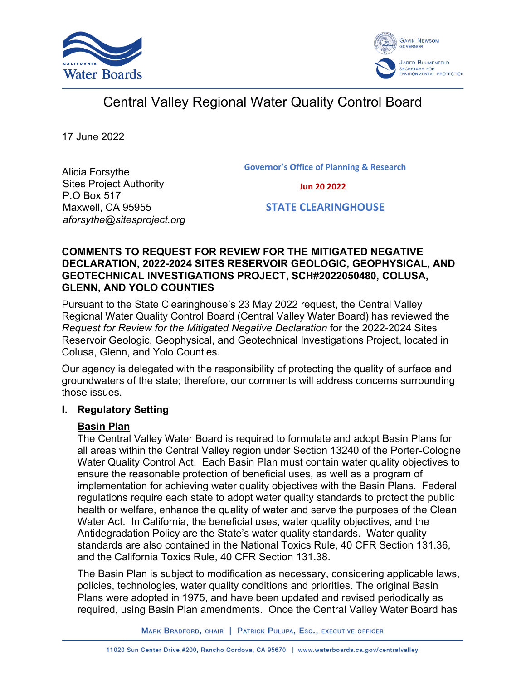



# Central Valley Regional Water Quality Control Board

17 June 2022

**Governor's Office of Planning & Research**

Alicia Forsythe Sites Project Authority P.O Box 517 Maxwell, CA 95955 *aforsythe@sitesproject.org*

 **Jun 20 2022**

 **STATE CLEARINGHOUSE**

#### **COMMENTS TO REQUEST FOR REVIEW FOR THE MITIGATED NEGATIVE DECLARATION, 2022-2024 SITES RESERVOIR GEOLOGIC, GEOPHYSICAL, AND GEOTECHNICAL INVESTIGATIONS PROJECT, SCH#2022050480, COLUSA, GLENN, AND YOLO COUNTIES**

Pursuant to the State Clearinghouse's 23 May 2022 request, the Central Valley Regional Water Quality Control Board (Central Valley Water Board) has reviewed the *Request for Review for the Mitigated Negative Declaration* for the 2022-2024 Sites Reservoir Geologic, Geophysical, and Geotechnical Investigations Project, located in Colusa, Glenn, and Yolo Counties.

Our agency is delegated with the responsibility of protecting the quality of surface and groundwaters of the state; therefore, our comments will address concerns surrounding those issues.

#### **I. Regulatory Setting**

## **Basin Plan**

The Central Valley Water Board is required to formulate and adopt Basin Plans for all areas within the Central Valley region under Section 13240 of the Porter-Cologne Water Quality Control Act. Each Basin Plan must contain water quality objectives to ensure the reasonable protection of beneficial uses, as well as a program of implementation for achieving water quality objectives with the Basin Plans. Federal regulations require each state to adopt water quality standards to protect the public health or welfare, enhance the quality of water and serve the purposes of the Clean Water Act. In California, the beneficial uses, water quality objectives, and the Antidegradation Policy are the State's water quality standards. Water quality standards are also contained in the National Toxics Rule, 40 CFR Section 131.36, and the California Toxics Rule, 40 CFR Section 131.38.

The Basin Plan is subject to modification as necessary, considering applicable laws, policies, technologies, water quality conditions and priorities. The original Basin Plans were adopted in 1975, and have been updated and revised periodically as required, using Basin Plan amendments. Once the Central Valley Water Board has

MARK BRADFORD, CHAIR | PATRICK PULUPA, ESQ., EXECUTIVE OFFICER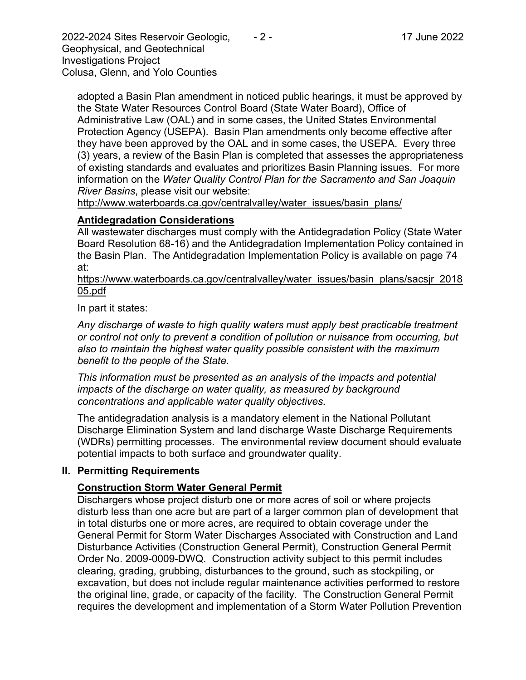2022-2024 Sites Reservoir Geologic, - 2 - 17 June 2022 Geophysical, and Geotechnical Investigations Project Colusa, Glenn, and Yolo Counties

adopted a Basin Plan amendment in noticed public hearings, it must be approved by the State Water Resources Control Board (State Water Board), Office of Administrative Law (OAL) and in some cases, the United States Environmental Protection Agency (USEPA). Basin Plan amendments only become effective after they have been approved by the OAL and in some cases, the USEPA. Every three (3) years, a review of the Basin Plan is completed that assesses the appropriateness of existing standards and evaluates and prioritizes Basin Planning issues. For more information on the *Water Quality Control Plan for the Sacramento and San Joaquin River Basins*, please visit our website:

[http://www.waterboards.ca.gov/centralvalley/water\\_issues/basin\\_plans/](http://www.waterboards.ca.gov/centralvalley/water_issues/basin_plans/)

#### **Antidegradation Considerations**

All wastewater discharges must comply with the Antidegradation Policy (State Water Board Resolution 68-16) and the Antidegradation Implementation Policy contained in the Basin Plan. The Antidegradation Implementation Policy is available on page 74 at:

https://www.waterboards.ca.gov/centralvalley/water\_issues/basin\_plans/sacsjr\_2018 05.pdf

In part it states:

*Any discharge of waste to high quality waters must apply best practicable treatment or control not only to prevent a condition of pollution or nuisance from occurring, but also to maintain the highest water quality possible consistent with the maximum benefit to the people of the State.*

*This information must be presented as an analysis of the impacts and potential impacts of the discharge on water quality, as measured by background concentrations and applicable water quality objectives.*

The antidegradation analysis is a mandatory element in the National Pollutant Discharge Elimination System and land discharge Waste Discharge Requirements (WDRs) permitting processes. The environmental review document should evaluate potential impacts to both surface and groundwater quality.

#### **II. Permitting Requirements**

## **Construction Storm Water General Permit**

Dischargers whose project disturb one or more acres of soil or where projects disturb less than one acre but are part of a larger common plan of development that in total disturbs one or more acres, are required to obtain coverage under the General Permit for Storm Water Discharges Associated with Construction and Land Disturbance Activities (Construction General Permit), Construction General Permit Order No. 2009-0009-DWQ. Construction activity subject to this permit includes clearing, grading, grubbing, disturbances to the ground, such as stockpiling, or excavation, but does not include regular maintenance activities performed to restore the original line, grade, or capacity of the facility. The Construction General Permit requires the development and implementation of a Storm Water Pollution Prevention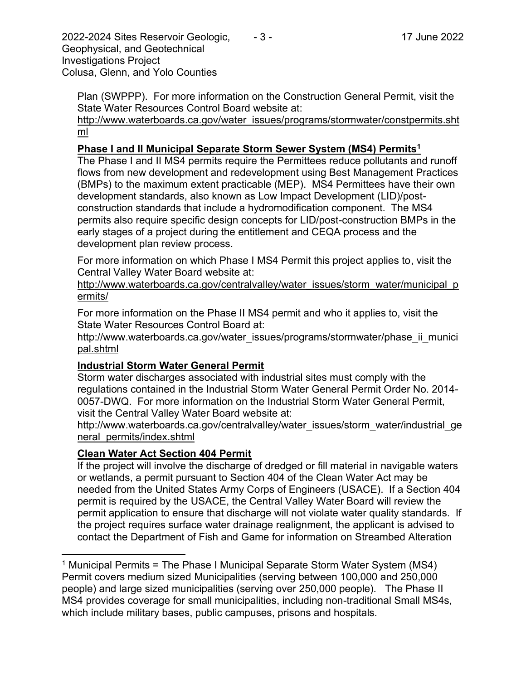2022-2024 Sites Reservoir Geologic, - 3 - 17 June 2022 Geophysical, and Geotechnical Investigations Project Colusa, Glenn, and Yolo Counties

Plan (SWPPP). For more information on the Construction General Permit, visit the State Water Resources Control Board website at:

[http://www.waterboards.ca.gov/water\\_issues/programs/stormwater/constpermits.sht](http://www.waterboards.ca.gov/water_issues/programs/stormwater/constpermits.shtml) [ml](http://www.waterboards.ca.gov/water_issues/programs/stormwater/constpermits.shtml)

# **Phase I and II Municipal Separate Storm Sewer System (MS4) Permits<sup>1</sup>**

The Phase I and II MS4 permits require the Permittees reduce pollutants and runoff flows from new development and redevelopment using Best Management Practices (BMPs) to the maximum extent practicable (MEP). MS4 Permittees have their own development standards, also known as Low Impact Development (LID)/postconstruction standards that include a hydromodification component. The MS4 permits also require specific design concepts for LID/post-construction BMPs in the early stages of a project during the entitlement and CEQA process and the development plan review process.

For more information on which Phase I MS4 Permit this project applies to, visit the Central Valley Water Board website at:

http://www.waterboards.ca.gov/centralvalley/water\_issues/storm\_water/municipal\_p ermits/

For more information on the Phase II MS4 permit and who it applies to, visit the State Water Resources Control Board at:

http://www.waterboards.ca.gov/water\_issues/programs/stormwater/phase\_ii\_munici pal.shtml

## **Industrial Storm Water General Permit**

Storm water discharges associated with industrial sites must comply with the regulations contained in the Industrial Storm Water General Permit Order No. 2014- 0057-DWQ. For more information on the Industrial Storm Water General Permit, visit the Central Valley Water Board website at:

http://www.waterboards.ca.gov/centralvalley/water\_issues/storm\_water/industrial\_ge neral\_permits/index.shtml

# **Clean Water Act Section 404 Permit**

If the project will involve the discharge of dredged or fill material in navigable waters or wetlands, a permit pursuant to Section 404 of the Clean Water Act may be needed from the United States Army Corps of Engineers (USACE). If a Section 404 permit is required by the USACE, the Central Valley Water Board will review the permit application to ensure that discharge will not violate water quality standards. If the project requires surface water drainage realignment, the applicant is advised to contact the Department of Fish and Game for information on Streambed Alteration

<sup>&</sup>lt;sup>1</sup> Municipal Permits = The Phase I Municipal Separate Storm Water System (MS4) Permit covers medium sized Municipalities (serving between 100,000 and 250,000 people) and large sized municipalities (serving over 250,000 people). The Phase II MS4 provides coverage for small municipalities, including non-traditional Small MS4s, which include military bases, public campuses, prisons and hospitals.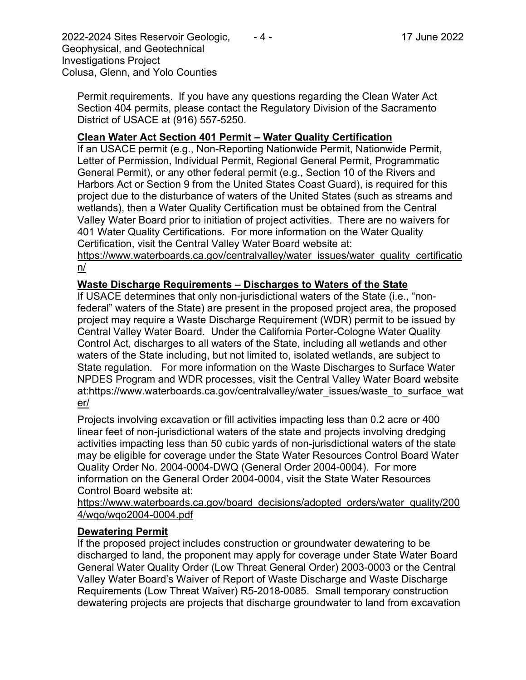2022-2024 Sites Reservoir Geologic, - 4 - 17 June 2022 Geophysical, and Geotechnical Investigations Project Colusa, Glenn, and Yolo Counties

Permit requirements. If you have any questions regarding the Clean Water Act Section 404 permits, please contact the Regulatory Division of the Sacramento District of USACE at (916) 557-5250.

## **Clean Water Act Section 401 Permit – Water Quality Certification**

If an USACE permit (e.g., Non-Reporting Nationwide Permit, Nationwide Permit, Letter of Permission, Individual Permit, Regional General Permit, Programmatic General Permit), or any other federal permit (e.g., Section 10 of the Rivers and Harbors Act or Section 9 from the United States Coast Guard), is required for this project due to the disturbance of waters of the United States (such as streams and wetlands), then a Water Quality Certification must be obtained from the Central Valley Water Board prior to initiation of project activities. There are no waivers for 401 Water Quality Certifications. For more information on the Water Quality Certification, visit the Central Valley Water Board website at:

https://www.waterboards.ca.gov/centralvalley/water\_issues/water\_quality\_certificatio n/

# **Waste Discharge Requirements – Discharges to Waters of the State**

If USACE determines that only non-jurisdictional waters of the State (i.e., "nonfederal" waters of the State) are present in the proposed project area, the proposed project may require a Waste Discharge Requirement (WDR) permit to be issued by Central Valley Water Board. Under the California Porter-Cologne Water Quality Control Act, discharges to all waters of the State, including all wetlands and other waters of the State including, but not limited to, isolated wetlands, are subject to State regulation. For more information on the Waste Discharges to Surface Water NPDES Program and WDR processes, visit the Central Valley Water Board website at:https://www.waterboards.ca.gov/centralvalley/water\_issues/waste\_to\_surface\_wat er/

Projects involving excavation or fill activities impacting less than 0.2 acre or 400 linear feet of non-jurisdictional waters of the state and projects involving dredging activities impacting less than 50 cubic yards of non-jurisdictional waters of the state may be eligible for coverage under the State Water Resources Control Board Water Quality Order No. 2004-0004-DWQ (General Order 2004-0004). For more information on the General Order 2004-0004, visit the State Water Resources Control Board website at:

https://www.waterboards.ca.gov/board\_decisions/adopted\_orders/water\_quality/200 4/wqo/wqo2004-0004.pdf

## **Dewatering Permit**

If the proposed project includes construction or groundwater dewatering to be discharged to land, the proponent may apply for coverage under State Water Board General Water Quality Order (Low Threat General Order) 2003-0003 or the Central Valley Water Board's Waiver of Report of Waste Discharge and Waste Discharge Requirements (Low Threat Waiver) R5-2018-0085. Small temporary construction dewatering projects are projects that discharge groundwater to land from excavation